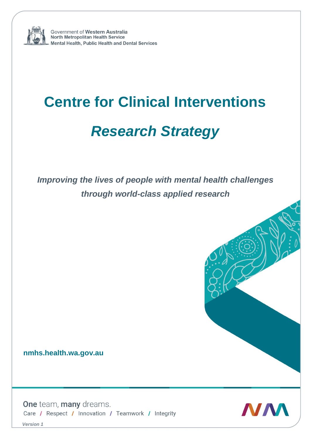

Government of Western Australia North Metropolitan Health Service Mental Health, Public Health and Dental Services

# **Centre for Clinical Interventions** *Research Strategy*

*Improving the lives of people with mental health challenges through world-class applied research*

**nmhs.health.wa.gov.au**

One team, many dreams. Care / Respect / Innovation / Teamwork / Integrity



*Version 1*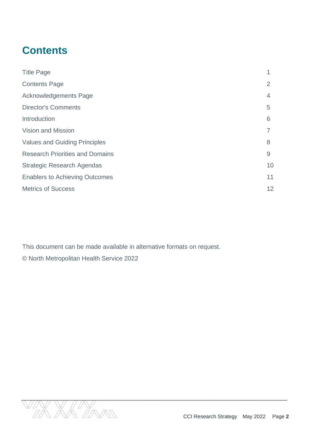# **Contents**

| <b>Title Page</b>                      |                |
|----------------------------------------|----------------|
| <b>Contents Page</b>                   | $\overline{2}$ |
| <b>Acknowledgements Page</b>           | 4              |
| <b>Director's Comments</b>             | 5              |
| Introduction                           | 6              |
| <b>Vision and Mission</b>              |                |
| <b>Values and Guiding Principles</b>   | 8              |
| <b>Research Priorities and Domains</b> | 9              |
| <b>Strategic Research Agendas</b>      | 10             |
| <b>Enablers to Achieving Outcomes</b>  | 11             |
| <b>Metrics of Success</b>              | 12             |

This document can be made available in alternative formats on request. © North Metropolitan Health Service 2022

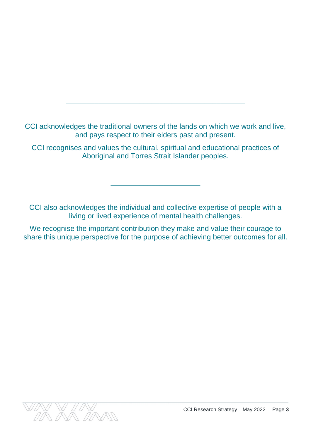CCI acknowledges the traditional owners of the lands on which we work and live, and pays respect to their elders past and present.

**\_\_\_\_\_\_\_\_\_\_\_\_\_\_\_\_\_\_\_\_\_\_\_\_\_\_\_\_\_\_\_\_\_\_\_\_\_\_\_\_\_\_\_\_**

CCI recognises and values the cultural, spiritual and educational practices of Aboriginal and Torres Strait Islander peoples.

CCI also acknowledges the individual and collective expertise of people with a living or lived experience of mental health challenges.

\_\_\_\_\_\_\_\_\_\_\_\_\_\_\_\_\_\_\_\_\_\_

We recognise the important contribution they make and value their courage to share this unique perspective for the purpose of achieving better outcomes for all.

**\_\_\_\_\_\_\_\_\_\_\_\_\_\_\_\_\_\_\_\_\_\_\_\_\_\_\_\_\_\_\_\_\_\_\_\_\_\_\_\_\_\_\_\_**

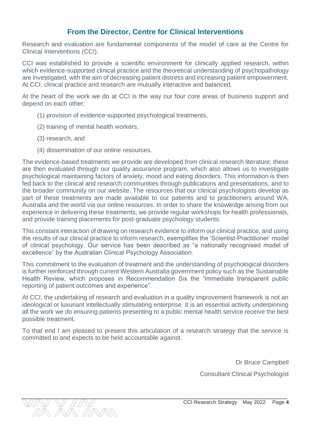#### **From the Director, Centre for Clinical Interventions**

Research and evaluation are fundamental components of the model of care at the Centre for Clinical Interventions (CCI).

CCI was established to provide a scientific environment for clinically applied research, within which evidence-supported clinical practice and the theoretical understanding of psychopathology are investigated, with the aim of decreasing patient distress and increasing patient empowerment. At CCI, clinical practice and research are mutually interactive and balanced.

At the heart of the work we do at CCI is the way our four core areas of business support and depend on each other;

- (1) provision of evidence-supported psychological treatments,
- (2) training of mental health workers,
- (3) research, and

 $\Lambda/N$  AVA  $\Lambda/N$ 

(4) dissemination of our online resources.

The evidence-based treatments we provide are developed from clinical research literature; these are then evaluated through our quality assurance program, which also allows us to investigate psychological maintaining factors of anxiety, mood and eating disorders. This information is then fed back to the clinical and research communities through publications and presentations, and to the broader community on our website. The resources that our clinical psychologists develop as part of these treatments are made available to our patients and to practitioners around WA, Australia and the world via our online resources. In order to share the knowledge arising from our experience in delivering these treatments, we provide regular workshops for health professionals, and provide training placements for post-graduate psychology students.

This constant interaction of drawing on research evidence to inform our clinical practice, and using the results of our clinical practice to inform research, exemplifies the 'Scientist-Practitioner' model of clinical psychology. Our service has been described as "a nationally recognised model of excellence" by the Australian Clinical Psychology Association.

This commitment to the evaluation of treatment and the understanding of psychological disorders is further reinforced through current Western Australia government policy such as the Sustainable Health Review, which proposes in Recommendation Six the "immediate transparent public reporting of patient outcomes and experience".

At CCI, the undertaking of research and evaluation in a quality improvement framework is not an ideological or luxuriant intellectually stimulating enterprise. It is an essential activity underpinning all the work we do ensuring patients presenting to a public mental health service receive the best possible treatment.

To that end I am pleased to present this articulation of a research strategy that the service is committed to and expects to be held accountable against.

> Dr Bruce Campbell Consultant Clinical Psychologist

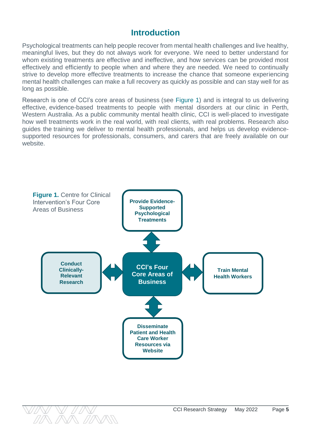### **Introduction**

Psychological treatments can help people recover from mental health challenges and live healthy, meaningful lives, but they do not always work for everyone. We need to better understand for whom existing treatments are effective and ineffective, and how services can be provided most effectively and efficiently to people when and where they are needed. We need to continually strive to develop more effective treatments to increase the chance that someone experiencing mental health challenges can make a full recovery as quickly as possible and can stay well for as long as possible.

Research is one of CCI's core areas of [business](https://www.cci.health.wa.gov.au/About-Us/Overview) (see Figure 1) and is integral to us delivering effective, [evidence-based](https://www.cci.health.wa.gov.au/Treatment) treatments to people with mental disorders at our clinic in [Perth,](https://www.cci.health.wa.gov.au/About-Us/Contact-Us/Our-Location) Western [Australia.](https://www.cci.health.wa.gov.au/About-Us/Contact-Us/Our-Location) As a public community mental health clinic, CCI is well-placed to investigate how well treatments work in the real world, with real clients, with real problems. Research also guides the training we deliver to mental health [professionals,](https://www.cci.health.wa.gov.au/Training) and helps us develop evidencesupported resources for professionals, consumers, and carers that are freely available on our website.



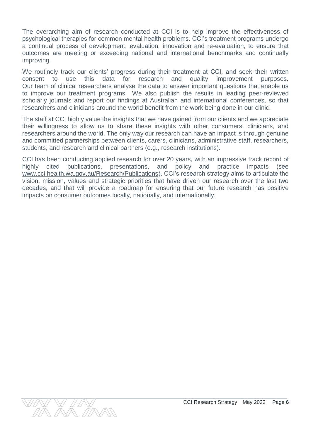The overarching aim of research conducted at CCI is to help improve the effectiveness of psychological therapies for common mental health problems. CCI's treatment programs undergo a continual process of development, evaluation, innovation and re-evaluation, to ensure that outcomes are meeting or exceeding national and international benchmarks and continually improving.

We routinely track our clients' progress during their treatment at CCI, and seek their written consent to use this data for research and quality improvement purposes. Our team of clinical researchers analyse the data to answer important questions that enable us to improve our treatment programs. We also publish the results in leading peer-reviewed scholarly journals and report our findings at Australian and international conferences, so that researchers and clinicians around the world benefit from the work being done in our clinic.

The staff at CCI highly value the insights that we have gained from our clients and we appreciate their willingness to allow us to share these insights with other consumers, clinicians, and researchers around the world. The only way our research can have an impact is through genuine and committed partnerships between clients, carers, clinicians, administrative staff, researchers, students, and research and clinical partners (e.g., research institutions).

CCI has been conducting applied research for over 20 years, with an impressive track record of highly cited publications, presentations, and policy and practice impacts (see [www.cci.health.wa.gov.au/Research/Publications\)](http://www.cci.health.wa.gov.au/Research/Publications). CCI's research strategy aims to articulate the vision, mission, values and strategic priorities that have driven our research over the last two decades, and that will provide a roadmap for ensuring that our future research has positive impacts on consumer outcomes locally, nationally, and internationally.

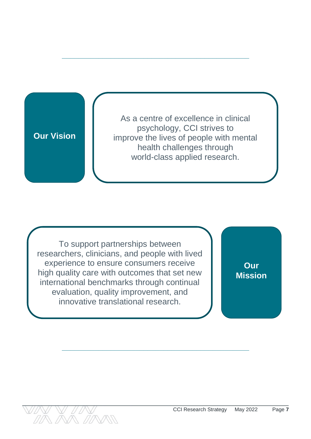# **Our Vision**

As a centre of excellence in clinical psychology, CCI strives to improve the lives of people with mental health challenges through world-class applied research.

**\_\_\_\_\_\_\_\_\_\_\_\_\_\_\_\_\_\_\_\_\_\_\_\_\_\_\_\_\_\_\_\_\_\_\_\_\_\_\_\_\_\_\_\_\_\_**

To support partnerships between researchers, clinicians, and people with lived experience to ensure consumers receive high quality care with outcomes that set new international benchmarks through continual evaluation, quality improvement, and innovative translational research.

**Our Mission**

**\_\_\_\_\_\_\_\_\_\_\_\_\_\_\_\_\_\_\_\_\_\_\_\_\_\_\_\_\_\_\_\_\_\_\_\_\_\_\_\_\_\_\_\_\_\_**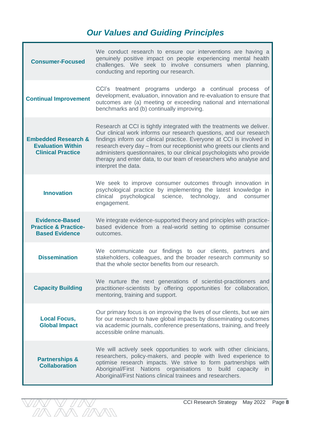# *Our Values and Guiding Principles*

| <b>Consumer-Focused</b>                                                                | We conduct research to ensure our interventions are having a<br>genuinely positive impact on people experiencing mental health<br>challenges. We seek to involve consumers when planning,<br>conducting and reporting our research.                                                                                                                                                                                                                                 |
|----------------------------------------------------------------------------------------|---------------------------------------------------------------------------------------------------------------------------------------------------------------------------------------------------------------------------------------------------------------------------------------------------------------------------------------------------------------------------------------------------------------------------------------------------------------------|
| <b>Continual Improvement</b>                                                           | CCI's treatment programs undergo a continual process of<br>development, evaluation, innovation and re-evaluation to ensure that<br>outcomes are (a) meeting or exceeding national and international<br>benchmarks and (b) continually improving.                                                                                                                                                                                                                    |
| <b>Embedded Research &amp;</b><br><b>Evaluation Within</b><br><b>Clinical Practice</b> | Research at CCI is tightly integrated with the treatments we deliver.<br>Our clinical work informs our research questions, and our research<br>findings inform our clinical practice. Everyone at CCI is involved in<br>research every day – from our receptionist who greets our clients and<br>administers questionnaires, to our clinical psychologists who provide<br>therapy and enter data, to our team of researchers who analyse and<br>interpret the data. |
| <b>Innovation</b>                                                                      | We seek to improve consumer outcomes through innovation in<br>psychological practice by implementing the latest knowledge in<br>clinical psychological science, technology,<br>and<br>consumer<br>engagement.                                                                                                                                                                                                                                                       |
| <b>Evidence-Based</b><br><b>Practice &amp; Practice-</b><br><b>Based Evidence</b>      | We integrate evidence-supported theory and principles with practice-<br>based evidence from a real-world setting to optimise consumer<br>outcomes.                                                                                                                                                                                                                                                                                                                  |
| <b>Dissemination</b>                                                                   | We communicate our findings to our clients, partners and<br>stakeholders, colleagues, and the broader research community so<br>that the whole sector benefits from our research.                                                                                                                                                                                                                                                                                    |
| <b>Capacity Building</b>                                                               | We nurture the next generations of scientist-practitioners and<br>practitioner-scientists by offering opportunities for collaboration,<br>mentoring, training and support.                                                                                                                                                                                                                                                                                          |
| <b>Local Focus,</b><br><b>Global Impact</b>                                            | Our primary focus is on improving the lives of our clients, but we aim<br>for our research to have global impacts by disseminating outcomes<br>via academic journals, conference presentations, training, and freely<br>accessible online manuals.                                                                                                                                                                                                                  |
| <b>Partnerships &amp;</b><br><b>Collaboration</b>                                      | We will actively seek opportunities to work with other clinicians,<br>researchers, policy-makers, and people with lived experience to<br>optimise research impacts. We strive to form partnerships with<br>Aboriginal/First Nations organisations to build capacity in<br>Aboriginal/First Nations clinical trainees and researchers.                                                                                                                               |

IN Y I IN<br>IA AN IANN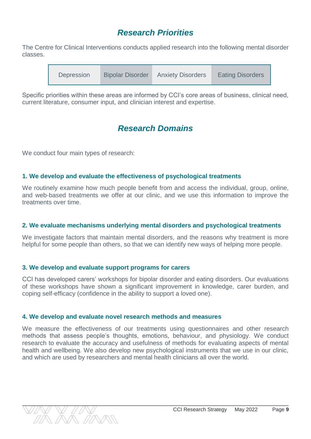# *Research Priorities*

The Centre for Clinical Interventions conducts applied research into the following mental disorder classes.

| Depression | <b>Bipolar Disorder</b> | <b>Anxiety Disorders</b> | <b>Eating Disorders</b> |
|------------|-------------------------|--------------------------|-------------------------|
|------------|-------------------------|--------------------------|-------------------------|

Specific priorities within these areas are informed by CCI's core areas of business, clinical need, current literature, consumer input, and clinician interest and expertise.

# *Research Domains*

We conduct four main types of research:

#### **1. We develop and evaluate the effectiveness of psychological treatments**

We routinely examine how much people benefit from and access the individual, group, online, and web-based treatments we offer at our clinic, and we use this information to improve the treatments over time.

#### **2. We evaluate mechanisms underlying mental disorders and psychological treatments**

We investigate factors that maintain mental disorders, and the reasons why treatment is more helpful for some people than others, so that we can identify new ways of helping more people.

#### **3. We develop and evaluate support programs for carers**

CCI has developed carers' workshops for bipolar disorder and eating disorders. Our evaluations of these workshops have shown a significant improvement in knowledge, carer burden, and coping self-efficacy (confidence in the ability to support a loved one).

#### **4. We develop and evaluate novel research methods and measures**

We measure the effectiveness of our treatments using questionnaires and other research methods that assess people's thoughts, emotions, behaviour, and physiology. We conduct research to evaluate the accuracy and usefulness of methods for evaluating aspects of mental health and wellbeing. We also develop new psychological instruments that we use in our clinic, and which are used by researchers and mental health clinicians all over the world.

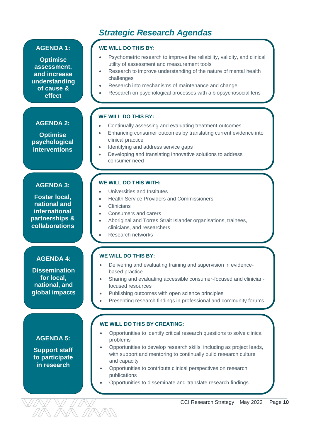# *Strategic Research Agendas*

#### **AGENDA 1:**

**Optimise assessment, and increase understanding of cause & effect**

#### **AGENDA 2:**

**Optimise psychological interventions**

#### **AGENDA 3:**

**Foster local, national and international partnerships & collaborations**

#### **AGENDA 4:**

**Dissemination for local, national, and global impacts**

#### **AGENDA 5:**

**Support staff to participate in research**

#### **WE WILL DO THIS BY:**

- Psychometric research to improve the reliability, validity, and clinical utility of assessment and measurement tools
- Research to improve understanding of the nature of mental health challenges
- Research into mechanisms of maintenance and change
- Research on psychological processes with a biopsychosocial lens

#### **WE WILL DO THIS BY:**

- Continually assessing and evaluating treatment outcomes
- Enhancing consumer outcomes by translating current evidence into clinical practice
- Identifying and address service gaps
- Developing and translating innovative solutions to address consumer need

#### **WE WILL DO THIS WITH:**

- Universities and Institutes
- Health Service Providers and Commissioners
- **Clinicians**
- Consumers and carers
- Aboriginal and Torres Strait Islander organisations, trainees, clinicians, and researchers
- Research networks

#### **WE WILL DO THIS BY:**

- Delivering and evaluating training and supervision in evidencebased practice
- Sharing and evaluating accessible consumer-focused and clinicianfocused resources
- Publishing outcomes with open science principles
- Presenting research findings in professional and community forums

#### **WE WILL DO THIS BY CREATING:**

- Opportunities to identify critical research questions to solve clinical problems
- Opportunities to develop research skills, including as project leads, with support and mentoring to continually build research culture and capacity
- Opportunities to contribute clinical perspectives on research publications
- Opportunities to disseminate and translate research findings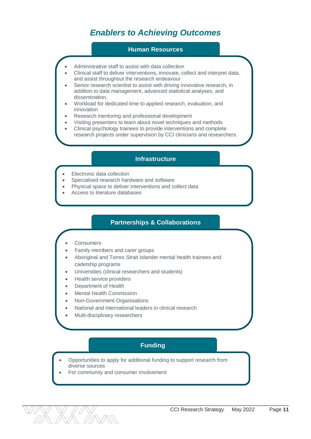# *Enablers to Achieving Outcomes*

#### **Human Resources**

- Administrative staff to assist with data collection
- Clinical staff to deliver interventions, innovate, collect and interpret data, and assist throughout the research endeavour
- Senior research scientist to assist with driving innovative research, in addition to data management, advanced statistical analyses, and dissemination.
- Workload for dedicated time to applied research, evaluation, and innovation
- Research mentoring and professional development

Aboriginal and Torres Strait Islander cadets and trainees

- Visiting presenters to learn about novel techniques and methods
- Clinical psychology trainees to provide interventions and complete research projects under supervision by CCI clinicians and researchers.

#### **Infrastructure**

- Electronic data collection
- Specialised research hardware and software
- Physical space to deliver interventions and collect data
- Access to literature databases

#### **Partnerships & Collaborations**

- **Consumers**
- Family members and carer groups
- Aboriginal and Torres Strait Islander mental health trainees and cadetship programs
- Universities (clinical researchers and students)
- Health service providers
- Department of Health
- Mental Health Commission
- Non-Government Organisations
- National and international leaders in clinical research
- Multi-disciplinary researchers

#### **Funding**

- Opportunities to apply for additional funding to support research from diverse sources
- For community and consumer involvement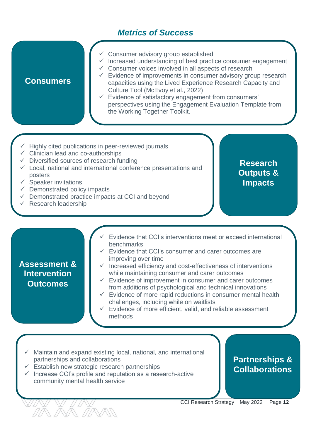# *Metrics of Success*

- Consumer advisory group established
- $\checkmark$  Increased understanding of best practice consumer engagement
- $\checkmark$  Consumer voices involved in all aspects of research

#### $\checkmark$  Evidence of improvements in consumer advisory group research capacities using the Lived Experience Research Capacity and Culture Tool (McEvoy et al., 2022)

- $\checkmark$  Evidence of satisfactory engagement from consumers' perspectives using the Engagement Evaluation Template from the Working Together Toolkit.
- Highly cited publications in peer-reviewed journals
- $\checkmark$  Clinician lead and co-authorships
- $\checkmark$  Diversified sources of research funding
- $\checkmark$  Local, national and international conference presentations and posters
- $\checkmark$  Speaker invitations

**Consumers**

- $\checkmark$  Demonstrated policy impacts
- $\checkmark$  Demonstrated practice impacts at CCI and beyond
- $\checkmark$  Research leadership

**Research Outputs & Impacts**

- Evidence that CCI's interventions meet or exceed international benchmarks
- $\checkmark$  Evidence that CCI's consumer and carer outcomes are improving over time

#### **Assessment & Intervention Outcomes**

- $\checkmark$  Increased efficiency and cost-effectiveness of interventions while maintaining consumer and carer outcomes
- $\checkmark$  Evidence of improvement in consumer and carer outcomes from additions of psychological and technical innovations
- $\checkmark$  Evidence of more rapid reductions in consumer mental health challenges, including while on waitlists
- $\checkmark$  Evidence of more efficient, valid, and reliable assessment methods
- Maintain and expand existing local, national, and international partnerships and collaborations
- $\checkmark$  Establish new strategic research partnerships
- $\checkmark$  Increase CCI's profile and reputation as a research-active community mental health service

# **Partnerships & Collaborations**